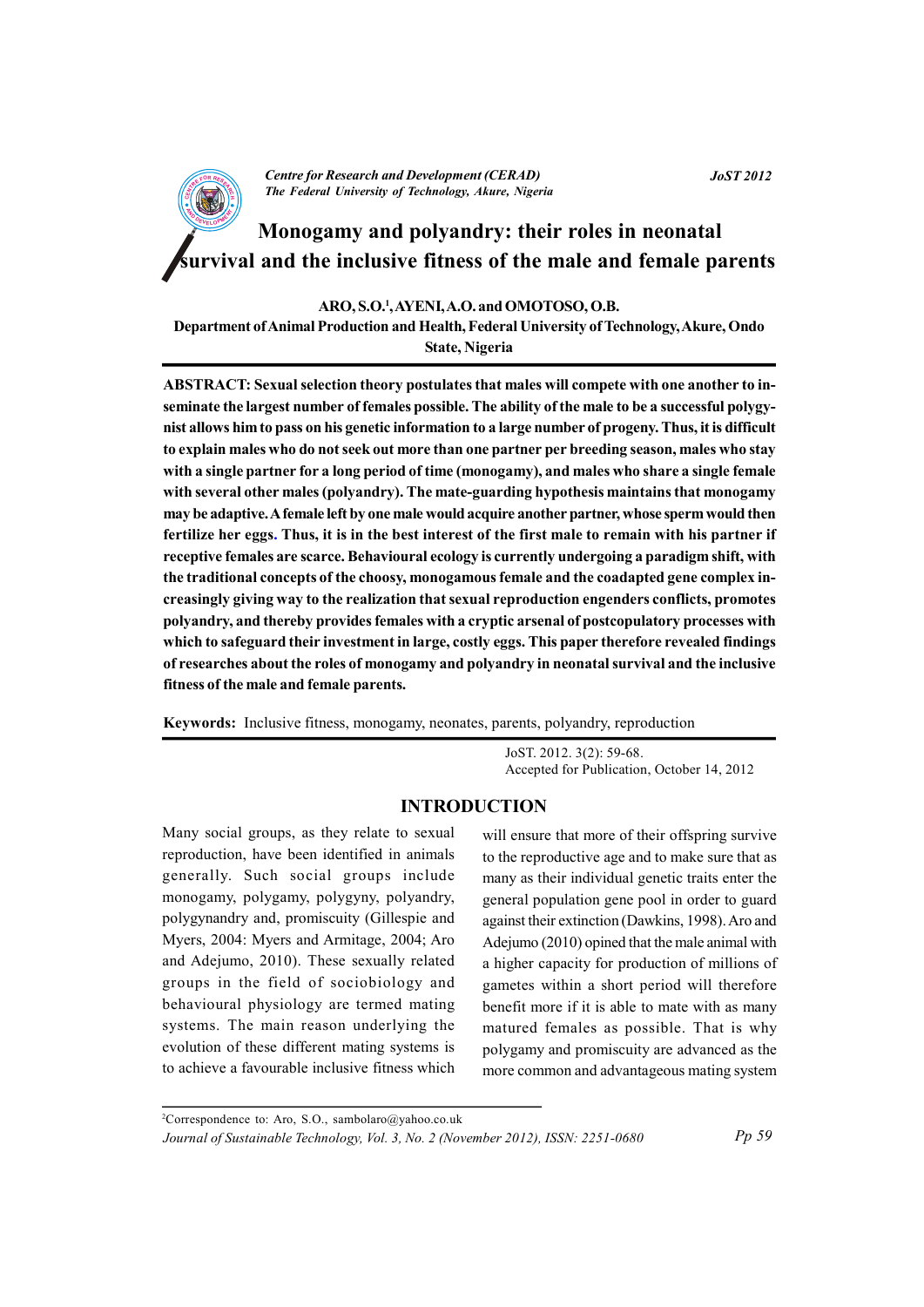**Centre for Research and Development (CERAD)** The Federal University of Technology, Akure, Nigeria **JoST 2012** 

# Monogamy and polyandry: their roles in neonatal urvival and the inclusive fitness of the male and female parents

ARO, S.O.<sup>1</sup>, AYENI, A.O. and OMOTOSO, O.B.

Department of Animal Production and Health, Federal University of Technology, Akure, Ondo State, Nigeria

ABSTRACT: Sexual selection theory postulates that males will compete with one another to inseminate the largest number of females possible. The ability of the male to be a successful polygynist allows him to pass on his genetic information to a large number of progeny. Thus, it is difficult to explain males who do not seek out more than one partner per breeding season, males who stay with a single partner for a long period of time (monogamy), and males who share a single female with several other males (polyandry). The mate-guarding hypothesis maintains that monogamy may be adaptive. A female left by one male would acquire another partner, whose sperm would then fertilize her eggs. Thus, it is in the best interest of the first male to remain with his partner if receptive females are scarce. Behavioural ecology is currently undergoing a paradigm shift, with the traditional concepts of the choosy, monogamous female and the coadapted gene complex increasingly giving way to the realization that sexual reproduction engenders conflicts, promotes polyandry, and thereby provides females with a cryptic arsenal of postcopulatory processes with which to safeguard their investment in large, costly eggs. This paper therefore revealed findings of researches about the roles of monogamy and polyandry in neonatal survival and the inclusive fitness of the male and female parents.

Keywords: Inclusive fitness, monogamy, neonates, parents, polyandry, reproduction

JoST. 2012. 3(2): 59-68. Accepted for Publication, October 14, 2012

# **INTRODUCTION**

Many social groups, as they relate to sexual reproduction, have been identified in animals generally. Such social groups include monogamy, polygamy, polygyny, polyandry, polygynandry and, promiscuity (Gillespie and Myers, 2004: Myers and Armitage, 2004; Aro and Adejumo, 2010). These sexually related groups in the field of sociobiology and behavioural physiology are termed mating systems. The main reason underlying the evolution of these different mating systems is to achieve a favourable inclusive fitness which

will ensure that more of their offspring survive to the reproductive age and to make sure that as many as their individual genetic traits enter the general population gene pool in order to guard against their extinction (Dawkins, 1998). Aro and Adejumo (2010) opined that the male animal with a higher capacity for production of millions of gametes within a short period will therefore benefit more if it is able to mate with as many matured females as possible. That is why polygamy and promiscuity are advanced as the more common and advantageous mating system

<sup>2</sup>Correspondence to: Aro, S.O., sambolaro@yahoo.co.uk Journal of Sustainable Technology, Vol. 3, No. 2 (November 2012), ISSN: 2251-0680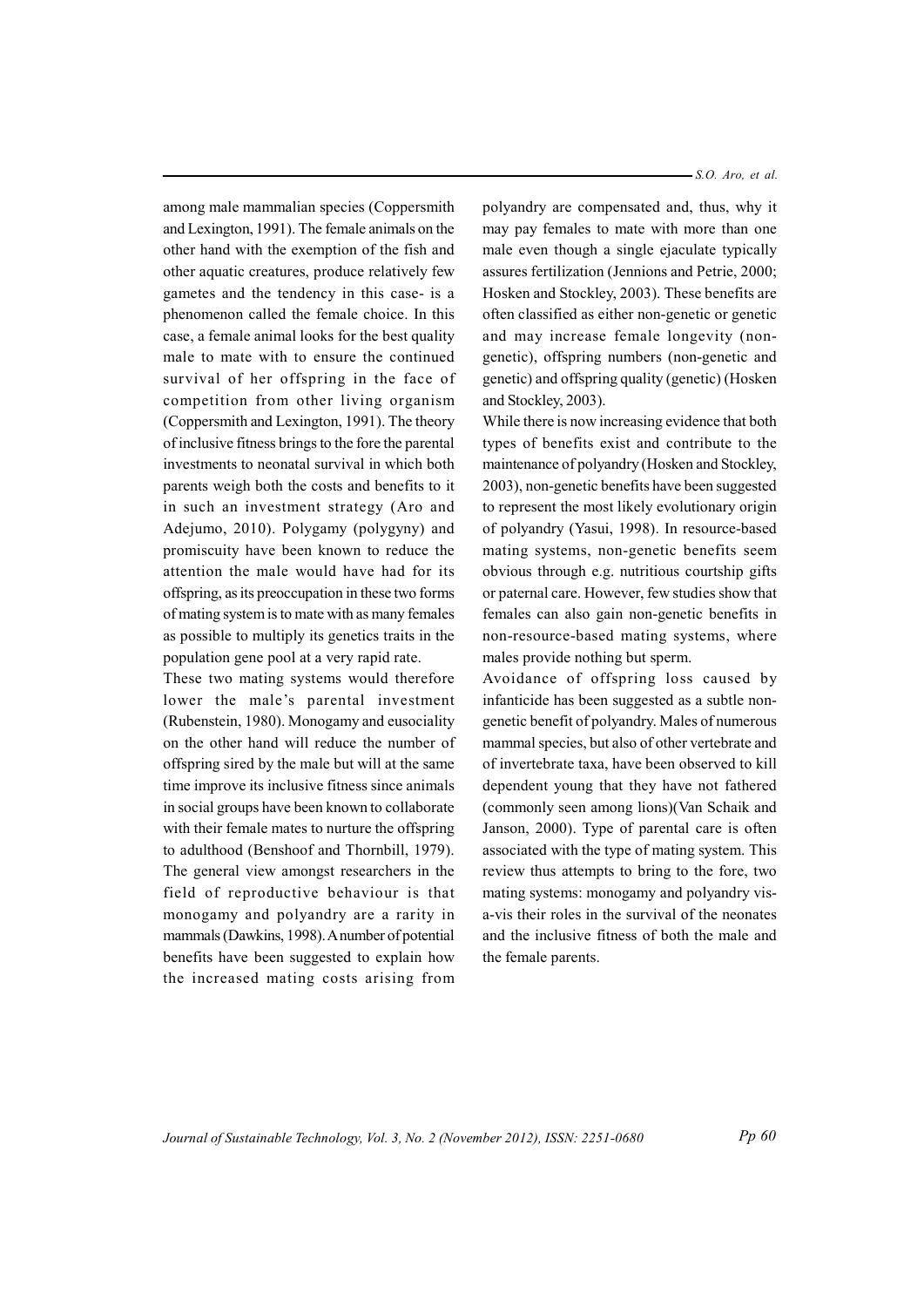among male mammalian species (Coppersmith) and Lexington, 1991). The female animals on the other hand with the exemption of the fish and other aquatic creatures, produce relatively few gametes and the tendency in this case- is a phenomenon called the female choice. In this case, a female animal looks for the best quality male to mate with to ensure the continued survival of her offspring in the face of competition from other living organism (Coppersmith and Lexington, 1991). The theory of inclusive fitness brings to the fore the parental investments to neonatal survival in which both parents weigh both the costs and benefits to it in such an investment strategy (Aro and Adejumo, 2010). Polygamy (polygyny) and promiscuity have been known to reduce the attention the male would have had for its offspring, as its preoccupation in these two forms of mating system is to mate with as many females as possible to multiply its genetics traits in the population gene pool at a very rapid rate.

These two mating systems would therefore lower the male's parental investment (Rubenstein, 1980). Monogamy and eusociality on the other hand will reduce the number of offspring sired by the male but will at the same time improve its inclusive fitness since animals in social groups have been known to collaborate with their female mates to nurture the offspring to adulthood (Benshoof and Thornbill, 1979). The general view amongst researchers in the field of reproductive behaviour is that monogamy and polyandry are a rarity in mammals (Dawkins, 1998). A number of potential benefits have been suggested to explain how the increased mating costs arising from

 $-S.O.$  Aro, et al.

polyandry are compensated and, thus, why it may pay females to mate with more than one male even though a single ejaculate typically assures fertilization (Jennions and Petrie, 2000; Hosken and Stockley, 2003). These benefits are often classified as either non-genetic or genetic and may increase female longevity (nongenetic), offspring numbers (non-genetic and genetic) and offspring quality (genetic) (Hosken and Stockley, 2003).

While there is now increasing evidence that both types of benefits exist and contribute to the maintenance of polyandry (Hosken and Stockley, 2003), non-genetic benefits have been suggested to represent the most likely evolutionary origin of polyandry (Yasui, 1998). In resource-based mating systems, non-genetic benefits seem obvious through e.g. nutritious courtship gifts or paternal care. However, few studies show that females can also gain non-genetic benefits in non-resource-based mating systems, where males provide nothing but sperm.

Avoidance of offspring loss caused by infanticide has been suggested as a subtle nongenetic benefit of polyandry. Males of numerous mammal species, but also of other vertebrate and of invertebrate taxa, have been observed to kill dependent young that they have not fathered (commonly seen among lions)(Van Schaik and Janson, 2000). Type of parental care is often associated with the type of mating system. This review thus attempts to bring to the fore, two mating systems: monogamy and polyandry visa-vis their roles in the survival of the neonates and the inclusive fitness of both the male and the female parents.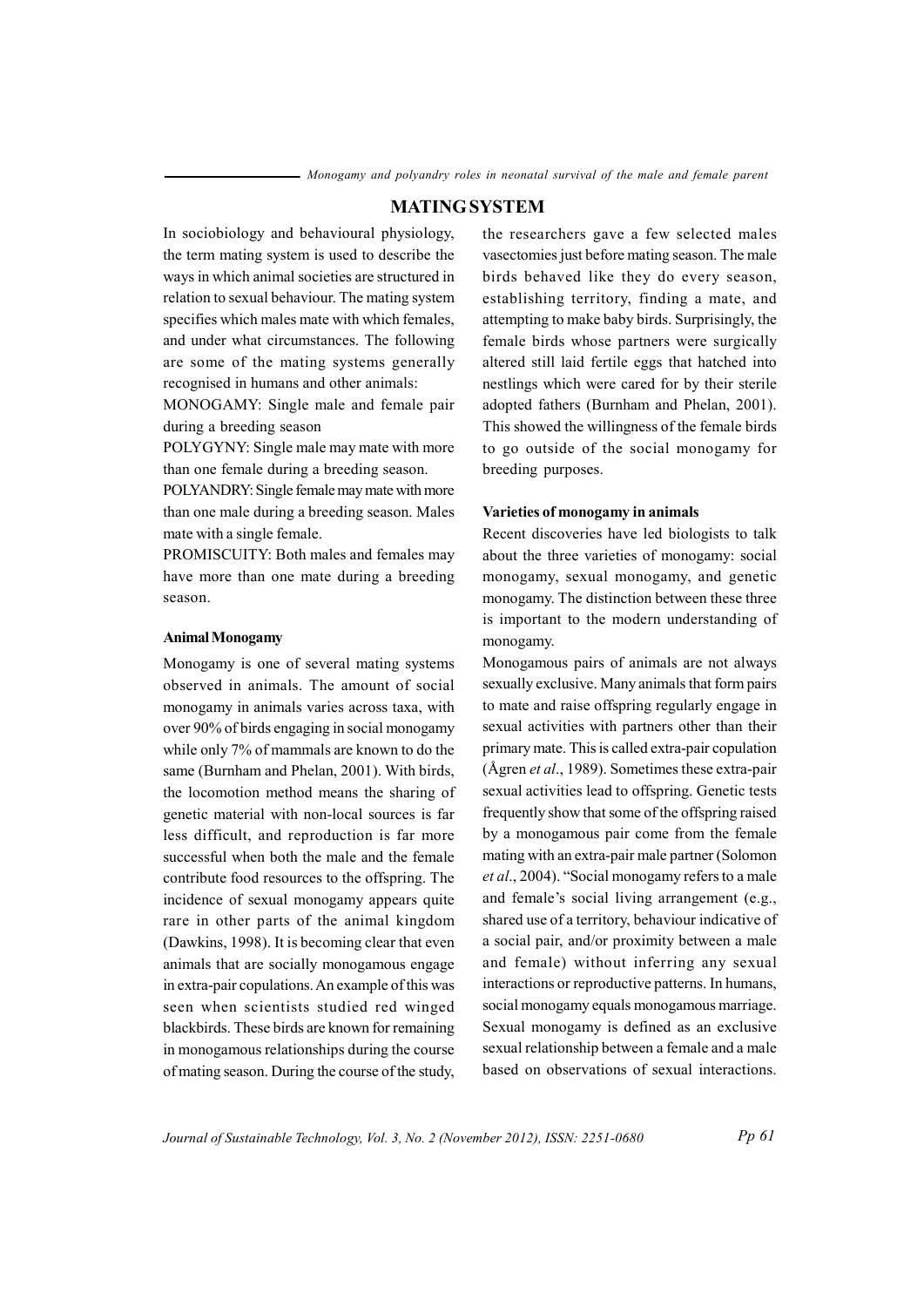#### **MATING SYSTEM**

In sociobiology and behavioural physiology, the term mating system is used to describe the ways in which animal societies are structured in relation to sexual behaviour. The mating system specifies which males mate with which females, and under what circumstances. The following are some of the mating systems generally recognised in humans and other animals:

MONOGAMY: Single male and female pair during a breeding season

POLYGYNY: Single male may mate with more than one female during a breeding season.

POLYANDRY: Single female may mate with more than one male during a breeding season. Males mate with a single female.

PROMISCUITY: Both males and females may have more than one mate during a breeding se ason.

#### **AnimalMonogamy**

Monogamy is one of several mating systems observed in animals. The amount of social monogamy in animals varies across taxa, with over 90% of birds engaging in social monogamy while only 7% of mammals are known to do the same (Burnham and Phelan, 2001). With birds, the locomotion method means the sharing of genetic material with non-local sources is far less difficult, and reproduction is far more successful when both the male and the female contribute food resources to the offspring. The incidence of sexual monogamy appears quite rare in other parts of the animal kingdom (Dawkins, 1998). It is becoming clear that even animals that are socially monogamous engage in extra-pair copulations. An example of this was seen when scientists studied red winged blackbirds. These birds are known for remaining in monogamous relationships during the course of mating season. During the course of the study,

the researchers gave a few selected males vasectomies just before mating season. The male birds behaved like they do every season, establishing territory, finding a mate, and attempting to make baby birds. Surprisingly, the female birds whose partners were surgically altered still laid fertile eggs that hatched into nestlings which were cared for by their sterile adopted fathers (Burnham and Phelan, 2001). This showed the willingness of the female birds to go outside of the social monogamy for breeding purposes.

#### **Varieties of monogamy in anima sl**

Recent discoveries have led biologists to talk about the three varieties of monogamy: social monogamy, sexual monogamy, and genetic monogamy. The distinction between these three is important to the modern understanding of monogamy.

Monogamous pairs of animals are not always s exually exclusive. Many animals that form pairs to mate and raise offspring regularly engage in sexual activities with partners other than their primary mate. This is called extra-pair copulation (Ågren *et al.*, 1989). Sometimes these extra-pair sexual activities lead to offspring. Genetic tests frequently show that some of the offspring raised by a monogamous pair come from the female mating with an extra-pair male partner (Solomon *et al.*, 2004). "Social monogamy refers to a male and female's social living arrangement  $(e.g.,)$ shared use of a territory, behaviour indicative of a social pair, and/or proximity between a male and female) without inferring any sexual interactions or reproductive patterns. In humans, social monogamy equals monogamous marriage. Sexual monogamy is defined as an exclusive sexual relationship between a female and a male based on observations of sexual interactions.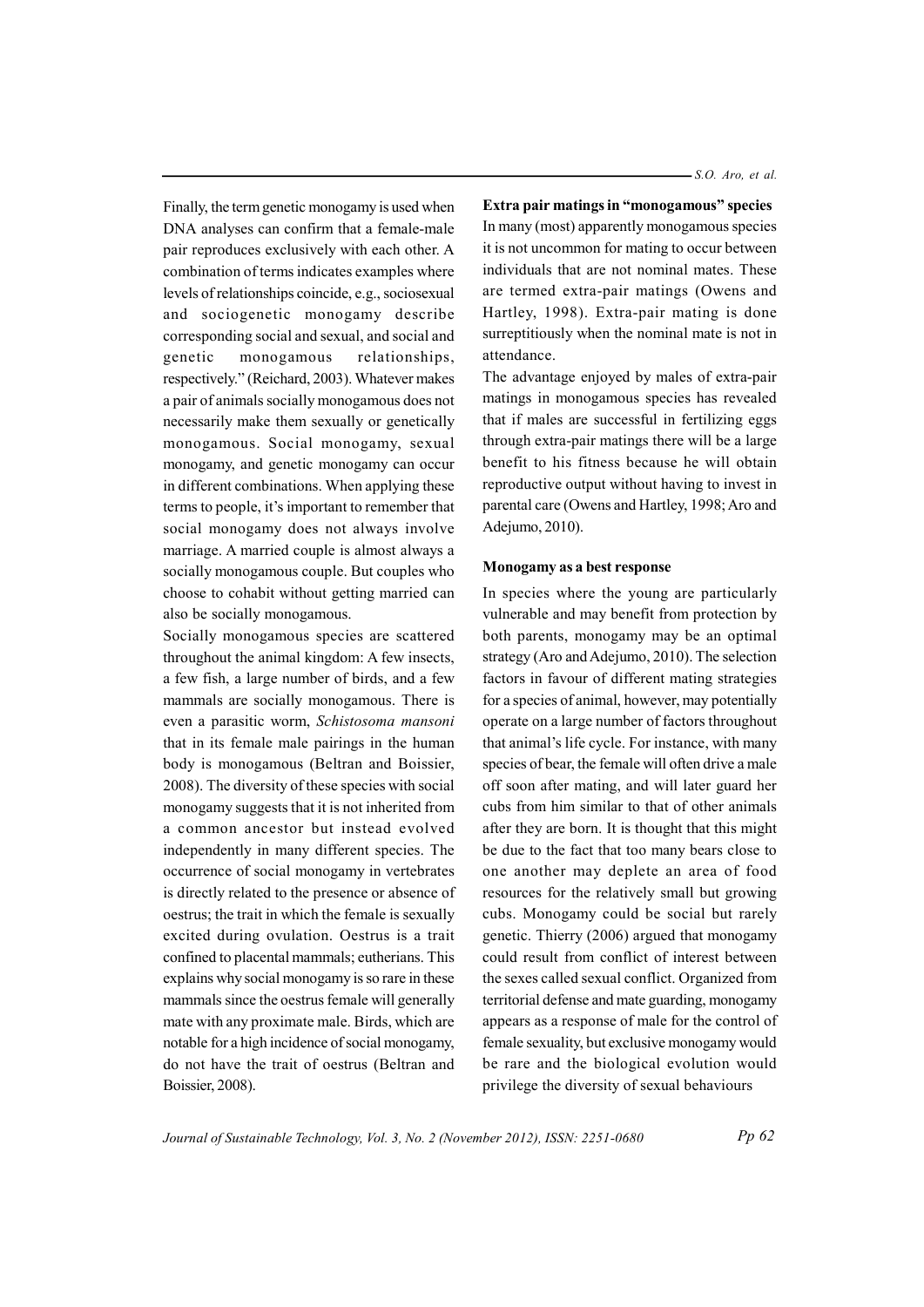Finally, the term genetic monogamy is used when DNA analyses can confirm that a female-male pair reproduces exclusively with each other. A combination of terms indicates examples where levels of relationships coincide, e.g., sociosexual and sociogenetic monogamy describe corresponding social and sexual, and social and genetic monogamous relationships. respectively." (Reichard, 2003). Whatever makes a pair of animals socially monogamous does not necessarily make them sexually or genetically monogamous. Social monogamy, sexual monogamy, and genetic monogamy can occur in different combinations. When applying these terms to people, it's important to remember that social monogamy does not always involve marriage. A married couple is almost always a socially monogamous couple. But couples who choose to cohabit without getting married can also be socially monogamous.

Socially monogamous species are scattered throughout the animal kingdom: A few insects, a few fish, a large number of birds, and a few mammals are socially monogamous. There is even a parasitic worm, Schistosoma mansoni that in its female male pairings in the human body is monogamous (Beltran and Boissier, 2008). The diversity of these species with social monogamy suggests that it is not inherited from a common ancestor but instead evolved independently in many different species. The occurrence of social monogamy in vertebrates is directly related to the presence or absence of oestrus; the trait in which the female is sexually excited during ovulation. Oestrus is a trait confined to placental mammals; eutherians. This explains why social monogamy is so rare in these mammals since the oestrus female will generally mate with any proximate male. Birds, which are notable for a high incidence of social monogamy, do not have the trait of oestrus (Beltran and Boissier, 2008).

 $-S.O.$  Aro, et al.

Extra pair matings in "monogamous" species In many (most) apparently monogamous species it is not uncommon for mating to occur between individuals that are not nominal mates. These are termed extra-pair matings (Owens and Hartley, 1998). Extra-pair mating is done surreptitiously when the nominal mate is not in attendance.

The advantage enjoyed by males of extra-pair matings in monogamous species has revealed that if males are successful in fertilizing eggs through extra-pair matings there will be a large benefit to his fitness because he will obtain reproductive output without having to invest in parental care (Owens and Hartley, 1998; Aro and Adejumo, 2010).

#### Monogamy as a best response

In species where the young are particularly vulnerable and may benefit from protection by both parents, monogamy may be an optimal strategy (Aro and Adejumo, 2010). The selection factors in favour of different mating strategies for a species of animal, however, may potentially operate on a large number of factors throughout that animal's life cycle. For instance, with many species of bear, the female will often drive a male off soon after mating, and will later guard her cubs from him similar to that of other animals after they are born. It is thought that this might be due to the fact that too many bears close to one another may deplete an area of food resources for the relatively small but growing cubs. Monogamy could be social but rarely genetic. Thierry (2006) argued that monogamy could result from conflict of interest between the sexes called sexual conflict. Organized from territorial defense and mate guarding, monogamy appears as a response of male for the control of female sexuality, but exclusive monogamy would be rare and the biological evolution would privilege the diversity of sexual behaviours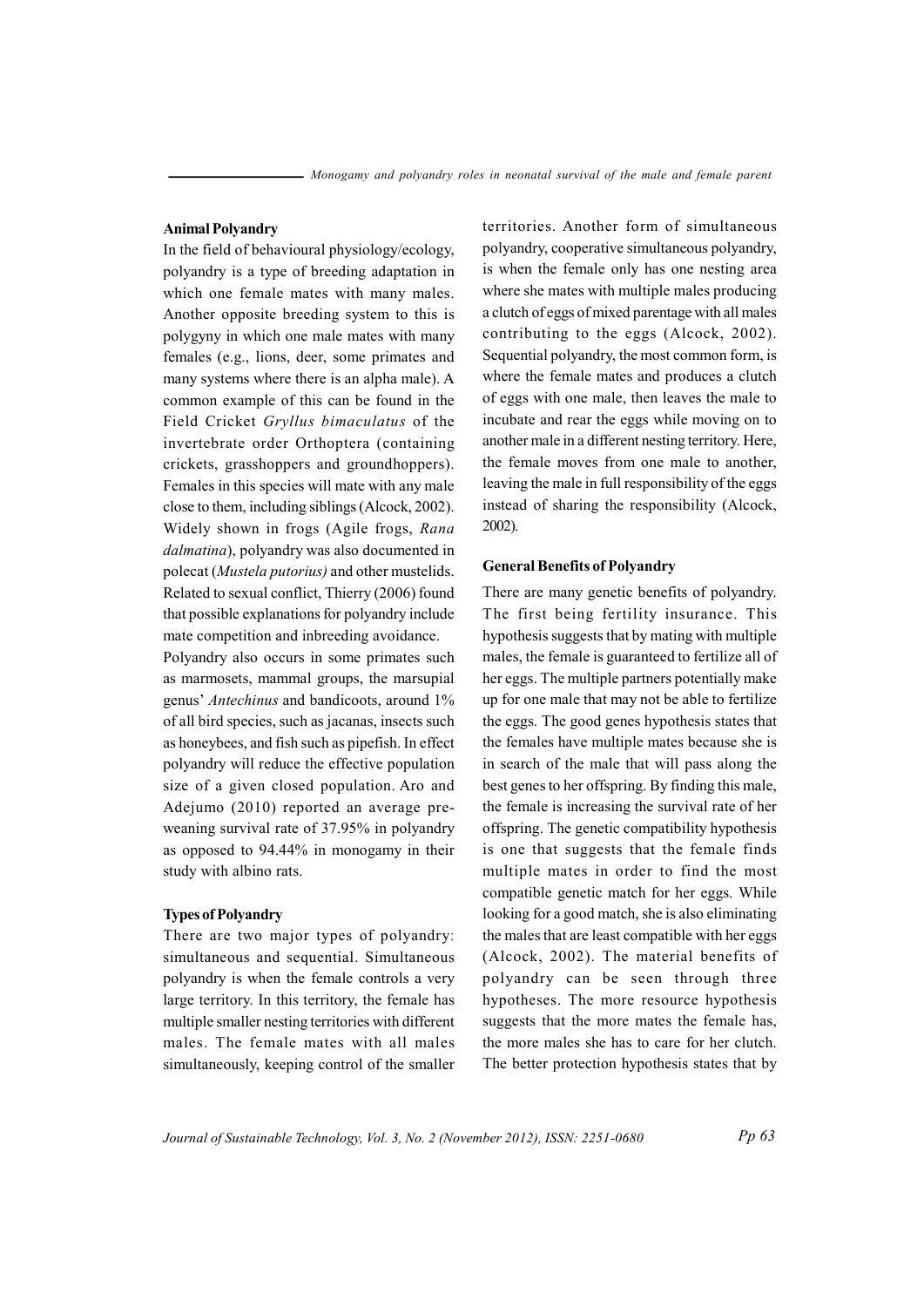### **Animal Polyandry**

In the field of behavioural physiology/ecology, polyandry is a type of breeding adaptation in which one female mates with many males. Another opposite breeding system to this is polygyny in which one male mates with many females (e.g., lions, deer, some primates and many systems where there is an alpha male). A common example of this can be found in the Field Cricket Gryllus bimaculatus of the invertebrate order Orthoptera (containing crickets, grasshoppers and groundhoppers). Females in this species will mate with any male close to them, including siblings (Alcock, 2002). Widely shown in frogs (Agile frogs, Rana dalmatina), polyandry was also documented in polecat (*Mustela putorius*) and other mustelids. Related to sexual conflict, Thierry (2006) found that possible explanations for polyandry include mate competition and inbreeding avoidance.

Polyandry also occurs in some primates such as marmosets, mammal groups, the marsupial genus' Antechinus and bandicoots, around 1% of all bird species, such as jacanas, insects such as honeybees, and fish such as pipefish. In effect polyandry will reduce the effective population size of a given closed population. Aro and Adejumo (2010) reported an average preweaning survival rate of 37.95% in polyandry as opposed to 94.44% in monogamy in their study with albino rats.

#### **Types of Polyandry**

There are two major types of polyandry: simultaneous and sequential. Simultaneous polyandry is when the female controls a very large territory. In this territory, the female has multiple smaller nesting territories with different males. The female mates with all males simultaneously, keeping control of the smaller

territories. Another form of simultaneous polyandry, cooperative simultaneous polyandry, is when the female only has one nesting area where she mates with multiple males producing a clutch of eggs of mixed parentage with all males contributing to the eggs (Alcock, 2002). Sequential polyandry, the most common form, is where the female mates and produces a clutch of eggs with one male, then leaves the male to incubate and rear the eggs while moving on to another male in a different nesting territory. Here, the female moves from one male to another. leaving the male in full responsibility of the eggs instead of sharing the responsibility (Alcock,  $2002$ ).

#### **General Benefits of Polyandry**

There are many genetic benefits of polyandry. The first being fertility insurance. This hypothesis suggests that by mating with multiple males, the female is guaranteed to fertilize all of her eggs. The multiple partners potentially make up for one male that may not be able to fertilize the eggs. The good genes hypothesis states that the females have multiple mates because she is in search of the male that will pass along the best genes to her offspring. By finding this male, the female is increasing the survival rate of her offspring. The genetic compatibility hypothesis is one that suggests that the female finds multiple mates in order to find the most compatible genetic match for her eggs. While looking for a good match, she is also eliminating the males that are least compatible with her eggs (Alcock, 2002). The material benefits of polyandry can be seen through three hypotheses. The more resource hypothesis suggests that the more mates the female has, the more males she has to care for her clutch. The better protection hypothesis states that by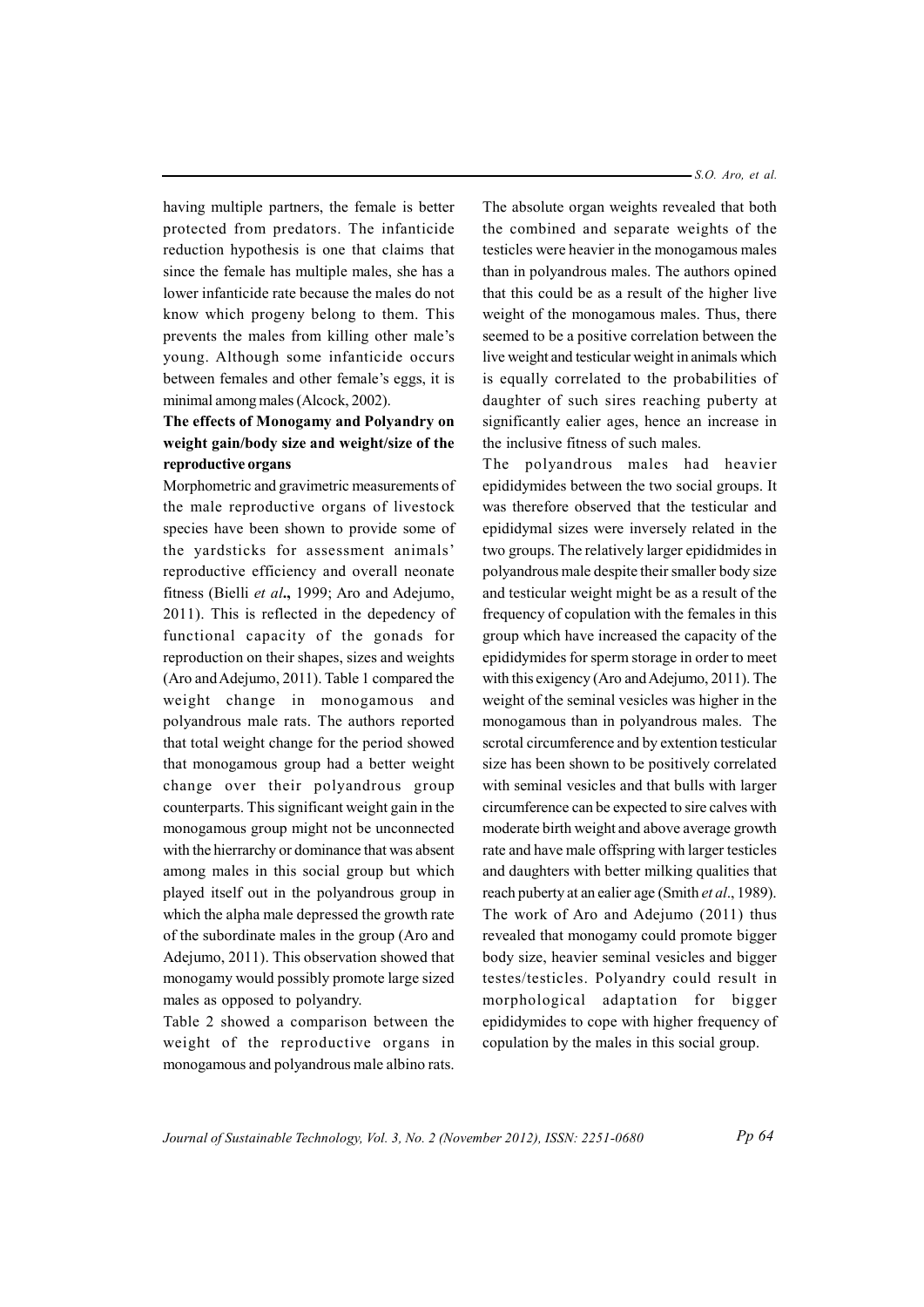having multiple partners, the female is better protected from predators. The infanticide reduction hypothesis is one that claims that since the female has multiple males, she has a lower infanticide rate because the males do not know which progeny belong to them. This prevents the males from killing other male's young. Although some infanticide occurs between females and other female's eggs, it is minimal among males (Alcock, 2002).

# **The effects of Monogamy and Polyandry on ew ight g ain b/ ody s zi e a dn ew ig th /si ez of t eh reproductive organs**

Morphometric and gravimetric measurements of the male reproductive organs of livestock species have been shown to provide some of the yardsticks for assessment animals' reproductive efficiency and overall neonate fitness (Bielli et al., 1999; Aro and Adejumo,  $2011$ ). This is reflected in the depedency of functional capacity of the gonads for reproduction on their shapes, sizes and weights (Aro and Adejumo,  $2011$ ). Table 1 compared the weight change in monogamous and polyandrous male rats. The authors reported that total weight change for the period showed that monogamous group had a better weight change over their polyandrous group counterparts. This significant weight gain in the monogamous group might not be unconnected with the hierrarchy or dominance that was absent among males in this social group but which played itself out in the polyandrous group in which the alpha male depressed the growth rate of the subordinate males in the group (Aro and Adejumo, 2011). This observation showed that monogamy would possibly promote large sized males as opposed to polyandry.

Table 2 showed a comparison between the weight of the reproductive organs in monogamous and polyandrous male albino rats. *a S.O. Aro*, *et al.* 

The absolute organ weights revealed that both the combined and separate weights of the te sticles were heavier in the monogamous males than in polyandrous males. The authors opined that this could be as a result of the higher live weight of the monogamous males. Thus, there seemed to be a positive correlation between the live weight and testicular weight in animals which is equally correlated to the probabilities of daughter of such sires reaching puberty at significantly ealier ages, hence an increase in the inclusive fitness of such males.

The polyandrous males had heavier epidid ymides between the two social groups. It was therefore observed that the testicular and epididymal sizes were inversely related in the two groups. The relatively larger epididmides in polyandrous male despite their smaller body size and testicular weight might be as a result of the frequency of copulation with the females in this group which have increased the capacity of the epididymides for sperm storage in order to meet with this exigency (Aro and Adejumo,  $2011$ ). The weight of the seminal vesicles was higher in the monogamous than in polyandrous males. The scrotal circumference and by extention testicular size has been shown to be positively correlated with seminal vesicles and that bulls with larger circumference can be expected to sire calves with moderate birth weight and above average growth rate and have male offspring with larger testicles and daughters with better milking qualities that reach puberty at an ealier age (Smith *et al.*, 1989). The work of Aro and Adejumo  $(2011)$  thus revealed that monogamy could promote bigger body size, heavier seminal vesicles and bigger testes/testicles. Polyandry could result in morphological adaptation for bigger epididymides to cope with higher frequency of copulation by the males in this social group.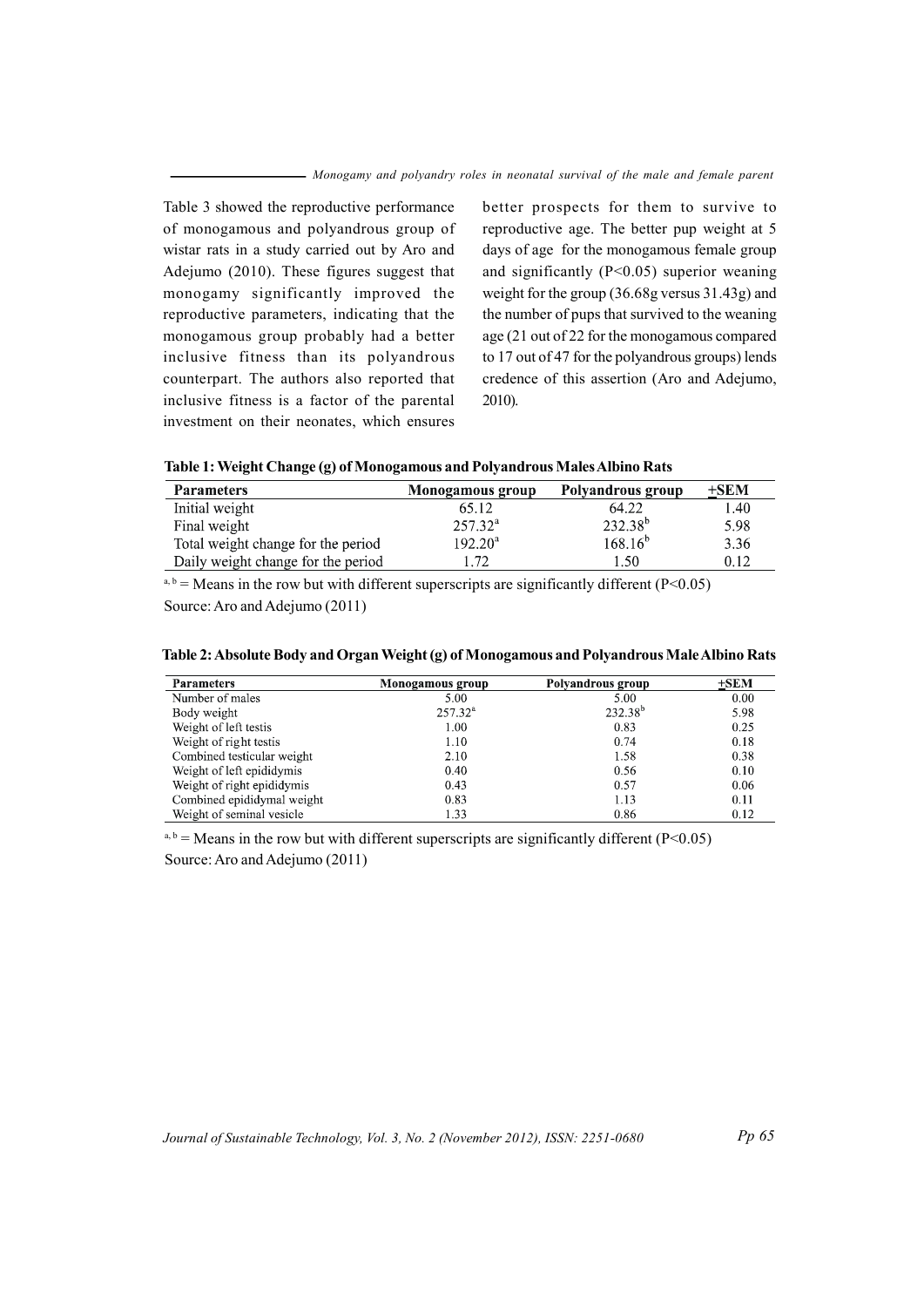Table 3 showed the reproductive performance of monogamous and polyandrous group of wistar rats in a study carried out by Aro and Adejumo (2010). These figures suggest that monogamy significantly improved the reproductive parameters, indicating that the monogamous group probably had a better inclusive fitness than its polyandrous counterpart. The authors also reported that inclusive fitness is a factor of the parental investment on their neonates, which ensures

better prospects for them to survive to reproductive age. The better pup weight at 5 days of age for the monogamous female group and significantly  $(P<0.05)$  superior weaning weight for the group (36.68g versus 31.43g) and the number of pups that survived to the weaning age (21 out of 22 for the monogamous compared to 17 out of 47 for the polyandrous groups) lends credence of this assertion (Aro and Adejumo,  $2010$ ).

| Table 1: Weight Change (g) of Monogamous and Polyandrous Males Albino Rats |  |  |
|----------------------------------------------------------------------------|--|--|
|                                                                            |  |  |

| <b>Parameters</b>                  | Monogamous group | Polyandrous group | $+$ SEM |
|------------------------------------|------------------|-------------------|---------|
| Initial weight                     | 65.12            | 64.22             | 1.40    |
| Final weight                       | $257.32^{\rm a}$ | $232.38^{b}$      | 5.98    |
| Total weight change for the period | $192.20^a$       | $168.16^{b}$      | 3.36    |
| Daily weight change for the period | . 72             | $\pm 50$          | 0.12    |

<sup>a, b</sup> = Means in the row but with different superscripts are significantly different ( $P < 0.05$ )

Source: Aro and Adejumo (2011)

| <b>Parameters</b>          | Monogamous group | Polyandrous group | $+$ SEM |
|----------------------------|------------------|-------------------|---------|
| Number of males            | 5.00             | 5.00              | 0.00    |
| Body weight                | $257.32^{\rm a}$ | $232.38^{b}$      | 5.98    |
| Weight of left testis      | 1.00             | 0.83              | 0.25    |
| Weight of right testis     | 1.10             | 0.74              | 0.18    |
| Combined testicular weight | 2.10             | 1.58              | 0.38    |
| Weight of left epididymis  | 0.40             | 0.56              | 0.10    |
| Weight of right epididymis | 0.43             | 0.57              | 0.06    |
| Combined epididymal weight | 0.83             | 1.13              | 0.11    |
| Weight of seminal vesicle  | 1.33             | 0.86              | 0.12    |

# Table 2: Absolute Body and Organ Weight (g) of Monogamous and Polyandrous Male Albino Rats

 $a, b$  = Means in the row but with different superscripts are significantly different (P<0.05) Source: Aro and Adejumo (2011)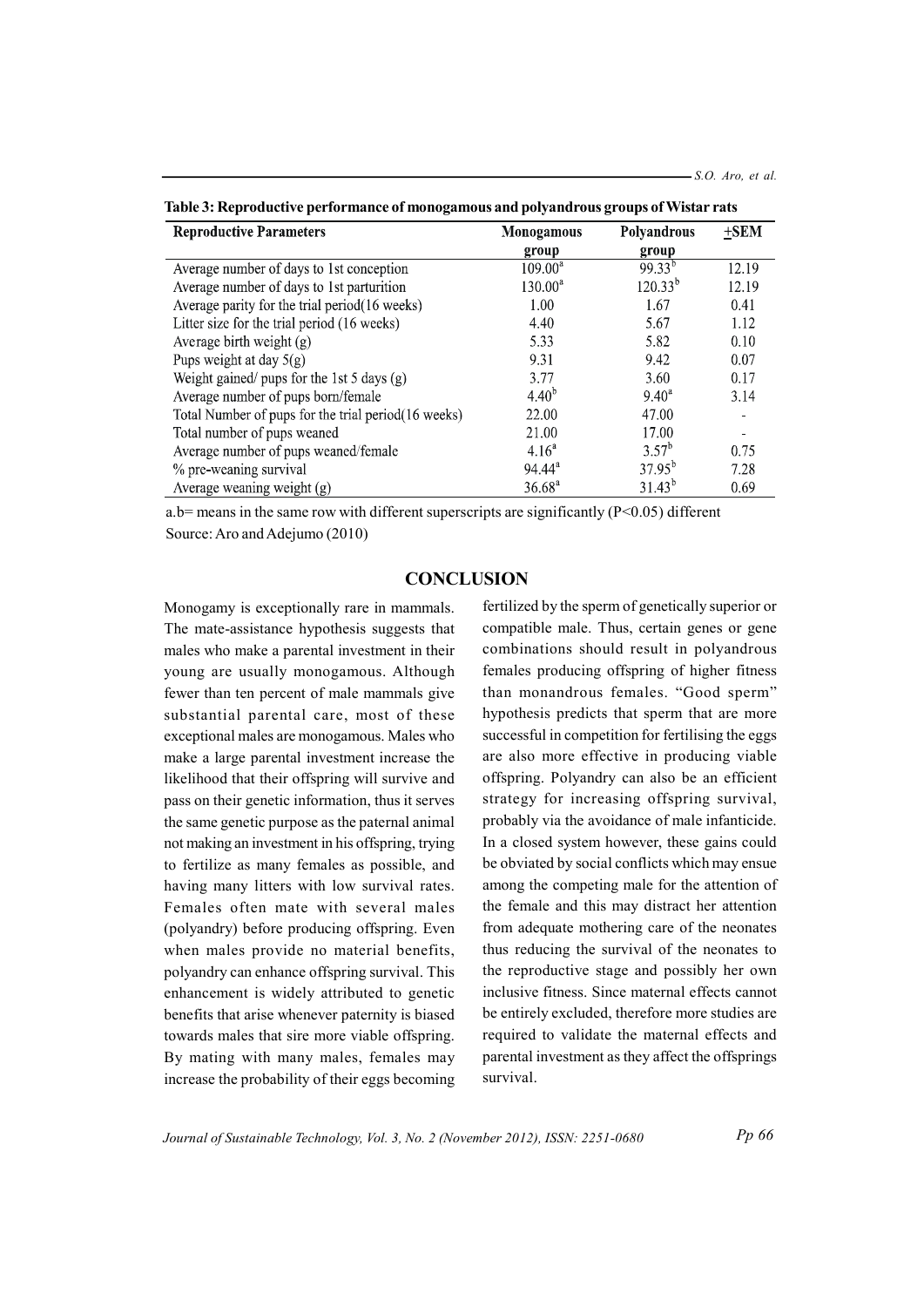| <b>Reproductive Parameters</b>                       | Monogamous      | Polyandrous    | $+$ SEM |
|------------------------------------------------------|-----------------|----------------|---------|
|                                                      | group           | group          |         |
| Average number of days to 1st conception             | $109.00^a$      | $99.33^{b}$    | 12.19   |
| Average number of days to 1st parturition            | $130.00^a$      | $120.33^{b}$   | 12.19   |
| Average parity for the trial period(16 weeks)        | 1.00            | 1.67           | 0.41    |
| Litter size for the trial period (16 weeks)          | 4.40            | 5.67           | 1.12    |
| Average birth weight $(g)$                           | 5.33            | 5.82           | 0.10    |
| Pups weight at day $5(g)$                            | 9.31            | 9.42           | 0.07    |
| Weight gained/ pups for the 1st 5 days $(g)$         | 3.77            | 3.60           | 0.17    |
| Average number of pups born/female                   | $4.40^{b}$      | $9.40^{\circ}$ | 3.14    |
| Total Number of pups for the trial period (16 weeks) | 22.00           | 47.00          |         |
| Total number of pups weaned                          | 21.00           | 17.00          |         |
| Average number of pups weaned/female                 | $4.16^{a}$      | $3.57^{\rm b}$ | 0.75    |
| % pre-weaning survival                               | $94.44^{\circ}$ | $37.95^{b}$    | 7.28    |
| Average weaning weight $(g)$                         | $36.68^{a}$     | $31.43^{b}$    | 0.69    |

Table 3: Reproductive performance of monogamous and polyandrous groups of Wistar rats

a.b= means in the same row with different superscripts are significantly  $(P<0.05)$  different Source: Aro and Adejumo (2010)

## **CONCLUSION**

Monogamy is exceptionally rare in mammals. The mate-assistance hypothesis suggests that males who make a parental investment in their young are usually monogamous. Although fewer than ten percent of male mammals give substantial parental care, most of these exceptional males are monogamous. Males who make a large parental investment increase the likelihood that their offspring will survive and pass on their genetic information, thus it serves the same genetic purpose as the paternal animal not making an investment in his offspring, trying to fertilize as many females as possible, and having many litters with low survival rates. Females often mate with several males (polyandry) before producing offspring. Even when males provide no material benefits, polyandry can enhance offspring survival. This enhancement is widely attributed to genetic benefits that arise whenever paternity is biased towards males that sire more viable offspring. By mating with many males, females may increase the probability of their eggs becoming

fertilized by the sperm of genetically superior or compatible male. Thus, certain genes or gene combinations should result in polyandrous females producing offspring of higher fitness than monandrous females. "Good sperm" hypothesis predicts that sperm that are more successful in competition for fertilising the eggs are also more effective in producing viable offspring. Polyandry can also be an efficient strategy for increasing offspring survival, probably via the avoidance of male infanticide. In a closed system however, these gains could be obviated by social conflicts which may ensue among the competing male for the attention of the female and this may distract her attention from adequate mothering care of the neonates thus reducing the survival of the neonates to the reproductive stage and possibly her own inclusive fitness. Since maternal effects cannot be entirely excluded, therefore more studies are required to validate the maternal effects and parental investment as they affect the offsprings survival.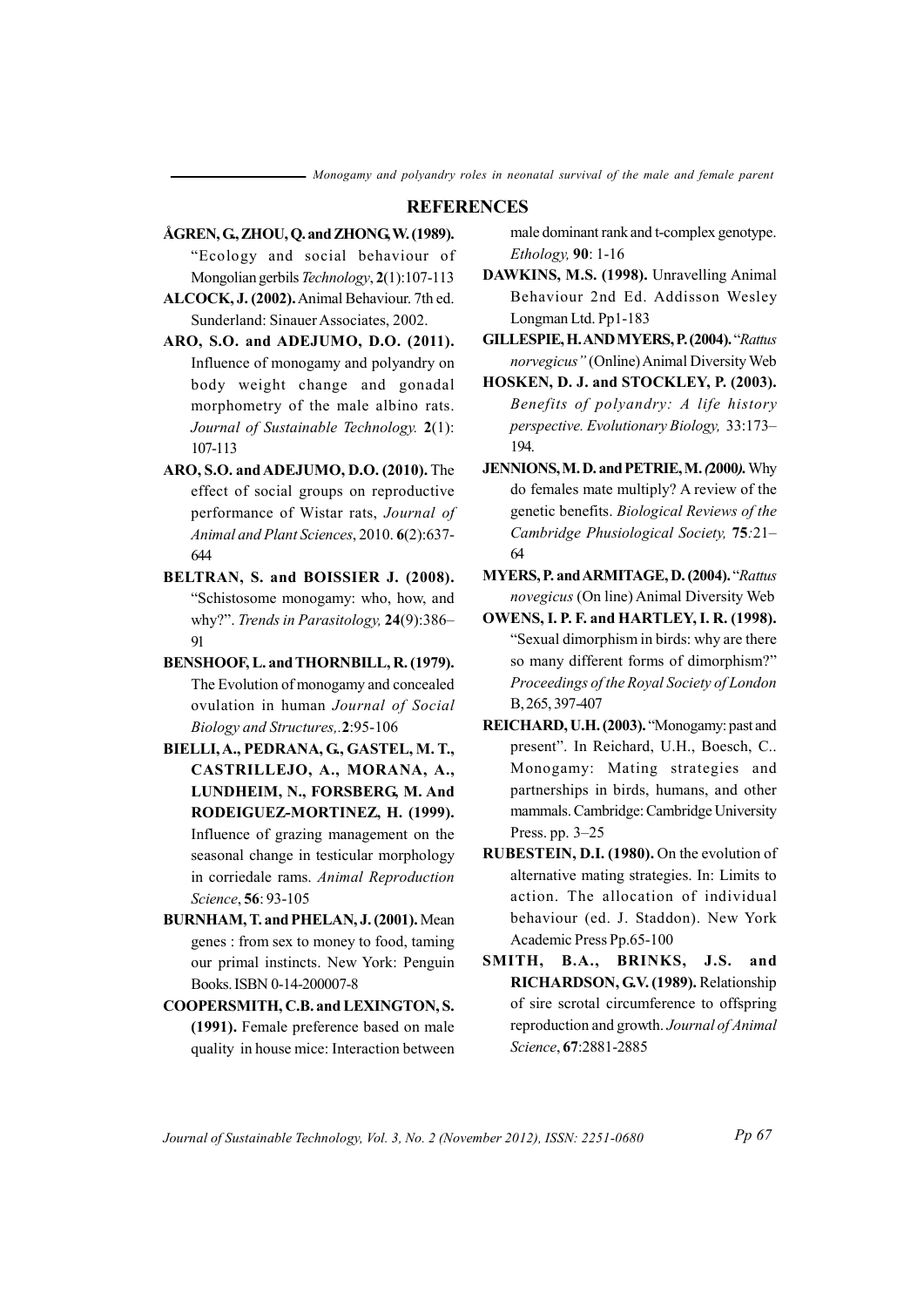#### **REFERENCES**

- ÅGREN, G., ZHOU, O. and ZHONG, W. (1989). "Ecology and social behaviour of Mongolian gerbils Technology, 2(1):107-113
- ALCOCK, J. (2002). Animal Behaviour. 7th ed. Sunderland: Sinauer Associates, 2002.
- ARO, S.O. and ADEJUMO, D.O. (2011). Influence of monogamy and polyandry on body weight change and gonadal morphometry of the male albino rats. Journal of Sustainable Technology. 2(1): 107-113
- ARO, S.O. and ADEJUMO, D.O. (2010). The effect of social groups on reproductive performance of Wistar rats, Journal of Animal and Plant Sciences, 2010. 6(2):637-644
- BELTRAN, S. and BOISSIER J. (2008). "Schistosome monogamy: who, how, and why?". Trends in Parasitology, 24(9):386-91
- BENSHOOF, L. and THORNBILL, R. (1979). The Evolution of monogamy and concealed ovulation in human Journal of Social Biology and Structures..2:95-106
- BIELLI, A., PEDRANA, G., GASTEL, M. T., CASTRILLEJO, A., MORANA, A., LUNDHEIM, N., FORSBERG, M. And RODEIGUEZ-MORTINEZ, H. (1999). Influence of grazing management on the seasonal change in testicular morphology in corriedale rams. Animal Reproduction Science, 56: 93-105
- BURNHAM, T. and PHELAN, J. (2001). Mean genes: from sex to money to food, taming our primal instincts. New York: Penguin Books. ISBN 0-14-200007-8
- COOPERSMITH, C.B. and LEXINGTON, S. (1991). Female preference based on male quality in house mice: Interaction between

male dominant rank and t-complex genotype. Ethology, 90: 1-16

- DAWKINS, M.S. (1998). Unravelling Animal Behaviour 2nd Ed. Addisson Wesley Longman Ltd. Pp1-183
- **GILLESPIE, H. AND MYERS, P. (2004). "Rattus** norvegicus" (Online) Animal Diversity Web
- HOSKEN, D. J. and STOCKLEY, P. (2003). Benefits of polyandry: A life history perspective. Evolutionary Biology, 33:173-194.
- JENNIONS, M.D. and PETRIE, M. (2000). Why do females mate multiply? A review of the genetic benefits. Biological Reviews of the Cambridge Phusiological Society, 75:21-64
- MYERS, P. and ARMITAGE, D. (2004). "Rattus novegicus (On line) Animal Diversity Web
- OWENS, I. P. F. and HARTLEY, I. R. (1998). "Sexual dimorphism in birds: why are there so many different forms of dimorphism?" Proceedings of the Royal Society of London B, 265, 397-407
- REICHARD, U.H. (2003). "Monogamy: past and present". In Reichard, U.H., Boesch, C.. Monogamy: Mating strategies and partnerships in birds, humans, and other mammals. Cambridge: Cambridge University Press. pp.  $3-25$
- RUBESTEIN, D.I. (1980). On the evolution of alternative mating strategies. In: Limits to action. The allocation of individual behaviour (ed. J. Staddon). New York Academic Press Pp.65-100
- SMITH, B.A., BRINKS, J.S. and RICHARDSON, G.V. (1989). Relationship of sire scrotal circumference to offspring reproduction and growth. Journal of Animal Science, 67:2881-2885